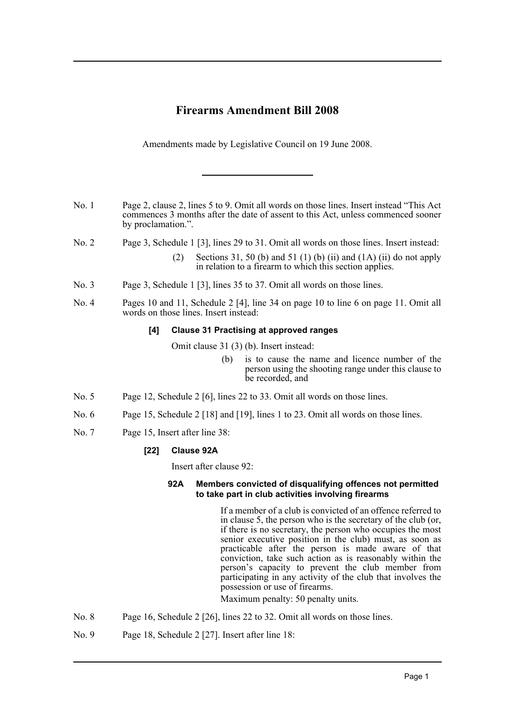## **Firearms Amendment Bill 2008**

Amendments made by Legislative Council on 19 June 2008.

- No. 1 Page 2, clause 2, lines 5 to 9. Omit all words on those lines. Insert instead "This Act commences 3 months after the date of assent to this Act, unless commenced sooner by proclamation.".
- No. 2 Page 3, Schedule 1 [3], lines 29 to 31. Omit all words on those lines. Insert instead:
	- (2) Sections 31, 50 (b) and 51 (1) (b) (ii) and (1A) (ii) do not apply in relation to a firearm to which this section applies.
- No. 3 Page 3, Schedule 1 [3], lines 35 to 37. Omit all words on those lines.
- No. 4 Pages 10 and 11, Schedule 2 [4], line 34 on page 10 to line 6 on page 11. Omit all words on those lines. Insert instead:

## **[4] Clause 31 Practising at approved ranges**

Omit clause 31 (3) (b). Insert instead:

- (b) is to cause the name and licence number of the person using the shooting range under this clause to be recorded, and
- No. 5 Page 12, Schedule 2 [6], lines 22 to 33. Omit all words on those lines.
- No. 6 Page 15, Schedule 2 [18] and [19], lines 1 to 23. Omit all words on those lines.
- No. 7 Page 15, Insert after line 38:

## **[22] Clause 92A**

Insert after clause 92:

## **92A Members convicted of disqualifying offences not permitted to take part in club activities involving firearms**

If a member of a club is convicted of an offence referred to in clause 5, the person who is the secretary of the club (or, if there is no secretary, the person who occupies the most senior executive position in the club) must, as soon as practicable after the person is made aware of that conviction, take such action as is reasonably within the person's capacity to prevent the club member from participating in any activity of the club that involves the possession or use of firearms.

Maximum penalty: 50 penalty units.

- No. 8 Page 16, Schedule 2 [26], lines 22 to 32. Omit all words on those lines.
- No. 9 Page 18, Schedule 2 [27]. Insert after line 18: